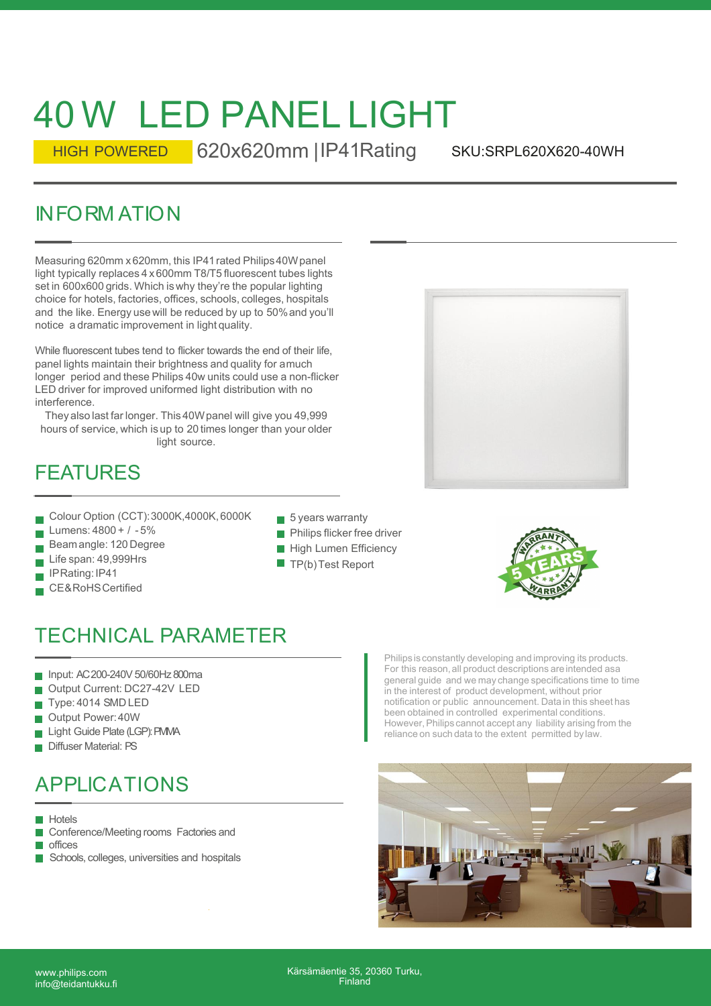# 40 W LED PANEL LIGHT

HIGH POWERED 620x620mm IIP41 Rating

SKU:SRPL620X620-40WH

 $40$  W LED PANEL LIGHT<br>
HIGH POWERED 620x620mm | IP41Rating s<br>
INFORM ATION<br>
Measuring 620mm x620mm, this IP41rated Philips 40W panel<br>
Ilight typically replaces 4 x600mm T8/T5 fluorescent tubes lights<br>
set in 600x600 grid Measuring 620mm x 620mm, this IP41 rated Philips40W panel light typically replaces 4 x 600mm T8/T5 fluorescent tubes lights set in 600x600 grids. Which is why they're the popular lighting choice for hotels, factories, offices, schools, colleges, hospitals and the like. Energy use will be reduced by up to 50% and you'll notice a dramatic improvement in light quality.

While fluorescent tubes tend to flicker towards the end of their life, panel lights maintain their brightness and quality for a much longer period and these Philips 40w units could use a non-flicker LED driver for improved uniformed light distribution with no interference.

They also last far longer. This 40W panel will give you 49,999 hours of service, which is up to 20 times longer than your older light source.

#### FEATURES

- Colour Option (CCT):3000K,4000K,6000K
- Lumens: 4800 + / 5%
- Beamangle: 120 Degree
- Life span: 49,999Hrs
- IPRating:IP41
- CE&RoHSCertified
- $\blacksquare$  5 years warranty
- **Philips flicker free driver**
- **High Lumen Efficiency**
- $\blacksquare$  TP(b) Test Report



### TECHNICAL PARAMETER

- Input: AC 200-240V 50/60Hz 800ma
- Output Current: DC27-42V LED
- Type: 4014 SMD LED
- Output Power:40W
- Light Guide Plate (LGP): PMMA
- Diffuser Material: PS

# APPLICATIONS

**Hotels** 

- Conference/Meeting rooms Factories and  $\mathcal{L}_{\mathcal{A}}$
- **n**offices
- Schools, colleges, universities and hospitals

Philips is constantly developing and improving its products. For this reason, all product descriptions are intended as a general guide and we may change specifications time to time in the interest of product development, without prior notification or public announcement. Data in this sheet has been obtained in controlled experimental conditions. However, Philips cannot accept any liability arising from the reliance on such data to the extent permitted by law.